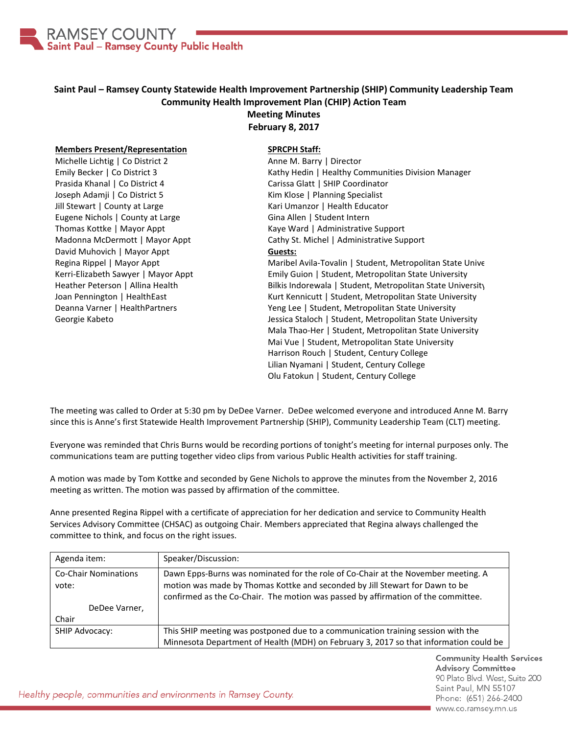

## **Saint Paul – Ramsey County Statewide Health Improvement Partnership (SHIP) Community Leadership Team Community Health Improvement Plan (CHIP) Action Team Meeting Minutes**

**February 8, 2017**

## **Members Present/Representation**

Michelle Lichtig | Co District 2 Emily Becker | Co District 3 Prasida Khanal | Co District 4 Joseph Adamji | Co District 5 Jill Stewart | County at Large Eugene Nichols | County at Large Thomas Kottke | Mayor Appt Madonna McDermott | Mayor Appt David Muhovich | Mayor Appt Regina Rippel | Mayor Appt Kerri-Elizabeth Sawyer | Mayor Appt Heather Peterson | Allina Health Joan Pennington | HealthEast Deanna Varner | HealthPartners Georgie Kabeto

## **SPRCPH Staff:**

Anne M. Barry | Director Kathy Hedin | Healthy Communities Division Manager Carissa Glatt | SHIP Coordinator Kim Klose | Planning Specialist Kari Umanzor | Health Educator Gina Allen | Student Intern Kaye Ward | Administrative Support Cathy St. Michel | Administrative Support **Guests:** Maribel Avila-Tovalin | Student, Metropolitan State Unive

Emily Guion | Student, Metropolitan State University Bilkis Indorewala | Student, Metropolitan State University Kurt Kennicutt | Student, Metropolitan State University Yeng Lee | Student, Metropolitan State University Jessica Staloch | Student, Metropolitan State University Mala Thao-Her | Student, Metropolitan State University Mai Vue | Student, Metropolitan State University Harrison Rouch | Student, Century College Lilian Nyamani | Student, Century College Olu Fatokun | Student, Century College

The meeting was called to Order at 5:30 pm by DeDee Varner. DeDee welcomed everyone and introduced Anne M. Barry since this is Anne's first Statewide Health Improvement Partnership (SHIP), Community Leadership Team (CLT) meeting.

Everyone was reminded that Chris Burns would be recording portions of tonight's meeting for internal purposes only. The communications team are putting together video clips from various Public Health activities for staff training.

A motion was made by Tom Kottke and seconded by Gene Nichols to approve the minutes from the November 2, 2016 meeting as written. The motion was passed by affirmation of the committee.

Anne presented Regina Rippel with a certificate of appreciation for her dedication and service to Community Health Services Advisory Committee (CHSAC) as outgoing Chair. Members appreciated that Regina always challenged the committee to think, and focus on the right issues.

| Agenda item:                         | Speaker/Discussion:                                                                                                                                                                                                                                    |
|--------------------------------------|--------------------------------------------------------------------------------------------------------------------------------------------------------------------------------------------------------------------------------------------------------|
| <b>Co-Chair Nominations</b><br>vote: | Dawn Epps-Burns was nominated for the role of Co-Chair at the November meeting. A<br>motion was made by Thomas Kottke and seconded by Jill Stewart for Dawn to be<br>confirmed as the Co-Chair. The motion was passed by affirmation of the committee. |
| DeDee Varner,                        |                                                                                                                                                                                                                                                        |
| Chair                                |                                                                                                                                                                                                                                                        |
| SHIP Advocacy:                       | This SHIP meeting was postponed due to a communication training session with the                                                                                                                                                                       |
|                                      | Minnesota Department of Health (MDH) on February 3, 2017 so that information could be                                                                                                                                                                  |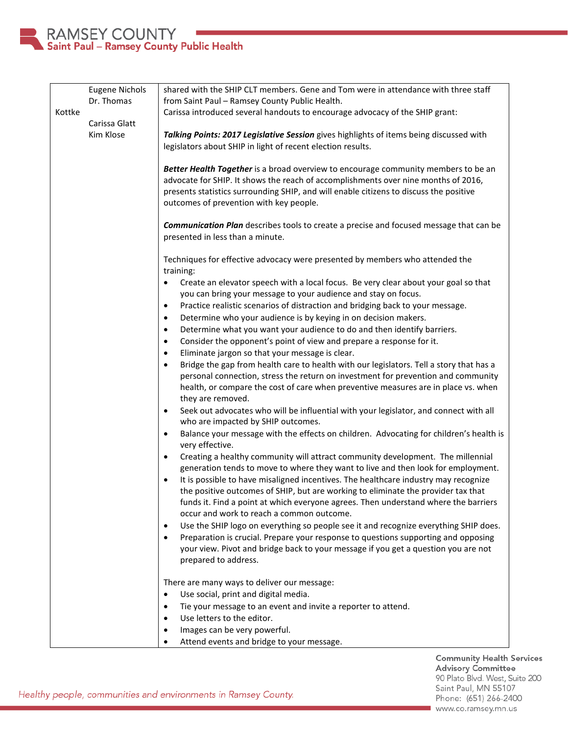

|        | <b>Eugene Nichols</b>      | shared with the SHIP CLT members. Gene and Tom were in attendance with three staff                                                                                                                                                                                                                                                                                                                                                                                                                             |
|--------|----------------------------|----------------------------------------------------------------------------------------------------------------------------------------------------------------------------------------------------------------------------------------------------------------------------------------------------------------------------------------------------------------------------------------------------------------------------------------------------------------------------------------------------------------|
|        | Dr. Thomas                 | from Saint Paul - Ramsey County Public Health.                                                                                                                                                                                                                                                                                                                                                                                                                                                                 |
| Kottke |                            | Carissa introduced several handouts to encourage advocacy of the SHIP grant:                                                                                                                                                                                                                                                                                                                                                                                                                                   |
|        | Carissa Glatt<br>Kim Klose | Talking Points: 2017 Legislative Session gives highlights of items being discussed with<br>legislators about SHIP in light of recent election results.                                                                                                                                                                                                                                                                                                                                                         |
|        |                            | Better Health Together is a broad overview to encourage community members to be an<br>advocate for SHIP. It shows the reach of accomplishments over nine months of 2016,<br>presents statistics surrounding SHIP, and will enable citizens to discuss the positive<br>outcomes of prevention with key people.                                                                                                                                                                                                  |
|        |                            | <b>Communication Plan</b> describes tools to create a precise and focused message that can be<br>presented in less than a minute.                                                                                                                                                                                                                                                                                                                                                                              |
|        |                            | Techniques for effective advocacy were presented by members who attended the                                                                                                                                                                                                                                                                                                                                                                                                                                   |
|        |                            | training:<br>Create an elevator speech with a local focus. Be very clear about your goal so that<br>$\bullet$<br>you can bring your message to your audience and stay on focus.<br>Practice realistic scenarios of distraction and bridging back to your message.<br>٠<br>Determine who your audience is by keying in on decision makers.<br>٠<br>Determine what you want your audience to do and then identify barriers.<br>٠                                                                                 |
|        |                            | Consider the opponent's point of view and prepare a response for it.<br>$\bullet$                                                                                                                                                                                                                                                                                                                                                                                                                              |
|        |                            | Eliminate jargon so that your message is clear.<br>$\bullet$                                                                                                                                                                                                                                                                                                                                                                                                                                                   |
|        |                            | Bridge the gap from health care to health with our legislators. Tell a story that has a<br>$\bullet$<br>personal connection, stress the return on investment for prevention and community<br>health, or compare the cost of care when preventive measures are in place vs. when<br>they are removed.                                                                                                                                                                                                           |
|        |                            | Seek out advocates who will be influential with your legislator, and connect with all<br>$\bullet$<br>who are impacted by SHIP outcomes.                                                                                                                                                                                                                                                                                                                                                                       |
|        |                            | Balance your message with the effects on children. Advocating for children's health is<br>٠<br>very effective.                                                                                                                                                                                                                                                                                                                                                                                                 |
|        |                            | Creating a healthy community will attract community development. The millennial<br>$\bullet$<br>generation tends to move to where they want to live and then look for employment.<br>It is possible to have misaligned incentives. The healthcare industry may recognize<br>$\bullet$<br>the positive outcomes of SHIP, but are working to eliminate the provider tax that<br>funds it. Find a point at which everyone agrees. Then understand where the barriers<br>occur and work to reach a common outcome. |
|        |                            | Use the SHIP logo on everything so people see it and recognize everything SHIP does.<br>٠<br>Preparation is crucial. Prepare your response to questions supporting and opposing<br>$\bullet$<br>your view. Pivot and bridge back to your message if you get a question you are not<br>prepared to address.                                                                                                                                                                                                     |
|        |                            | There are many ways to deliver our message:                                                                                                                                                                                                                                                                                                                                                                                                                                                                    |
|        |                            | Use social, print and digital media.<br>$\bullet$                                                                                                                                                                                                                                                                                                                                                                                                                                                              |
|        |                            | Tie your message to an event and invite a reporter to attend.<br>٠<br>Use letters to the editor.<br>$\bullet$                                                                                                                                                                                                                                                                                                                                                                                                  |
|        |                            | Images can be very powerful.<br>$\bullet$                                                                                                                                                                                                                                                                                                                                                                                                                                                                      |
|        |                            | Attend events and bridge to your message.<br>$\bullet$                                                                                                                                                                                                                                                                                                                                                                                                                                                         |

Community Health Services<br>Advisory Committee 90 Plato Blvd. West, Suite 200 Saint Paul, MN 55107 Phone: (651) 266-2400 www.co.ramsey.mn.us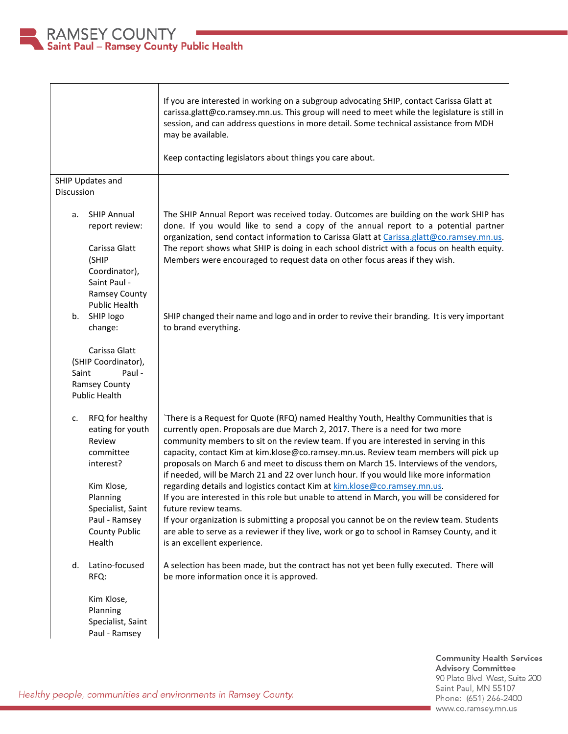

|                                                                                                                                                                                 | If you are interested in working on a subgroup advocating SHIP, contact Carissa Glatt at<br>carissa.glatt@co.ramsey.mn.us. This group will need to meet while the legislature is still in<br>session, and can address questions in more detail. Some technical assistance from MDH<br>may be available.<br>Keep contacting legislators about things you care about.                                                                                                                                                                                                                                                                                                                                                                                                                                                                                                                                                                                                      |
|---------------------------------------------------------------------------------------------------------------------------------------------------------------------------------|--------------------------------------------------------------------------------------------------------------------------------------------------------------------------------------------------------------------------------------------------------------------------------------------------------------------------------------------------------------------------------------------------------------------------------------------------------------------------------------------------------------------------------------------------------------------------------------------------------------------------------------------------------------------------------------------------------------------------------------------------------------------------------------------------------------------------------------------------------------------------------------------------------------------------------------------------------------------------|
| SHIP Updates and<br>Discussion                                                                                                                                                  |                                                                                                                                                                                                                                                                                                                                                                                                                                                                                                                                                                                                                                                                                                                                                                                                                                                                                                                                                                          |
| <b>SHIP Annual</b><br>а.<br>report review:<br>Carissa Glatt<br>(SHIP<br>Coordinator),<br>Saint Paul -<br><b>Ramsey County</b><br>Public Health                                  | The SHIP Annual Report was received today. Outcomes are building on the work SHIP has<br>done. If you would like to send a copy of the annual report to a potential partner<br>organization, send contact information to Carissa Glatt at Carissa.glatt@co.ramsey.mn.us.<br>The report shows what SHIP is doing in each school district with a focus on health equity.<br>Members were encouraged to request data on other focus areas if they wish.                                                                                                                                                                                                                                                                                                                                                                                                                                                                                                                     |
| SHIP logo<br>b.<br>change:                                                                                                                                                      | SHIP changed their name and logo and in order to revive their branding. It is very important<br>to brand everything.                                                                                                                                                                                                                                                                                                                                                                                                                                                                                                                                                                                                                                                                                                                                                                                                                                                     |
| Carissa Glatt<br>(SHIP Coordinator),<br>Paul -<br>Saint<br><b>Ramsey County</b><br><b>Public Health</b>                                                                         |                                                                                                                                                                                                                                                                                                                                                                                                                                                                                                                                                                                                                                                                                                                                                                                                                                                                                                                                                                          |
| RFQ for healthy<br>c.<br>eating for youth<br>Review<br>committee<br>interest?<br>Kim Klose,<br>Planning<br>Specialist, Saint<br>Paul - Ramsey<br><b>County Public</b><br>Health | `There is a Request for Quote (RFQ) named Healthy Youth, Healthy Communities that is<br>currently open. Proposals are due March 2, 2017. There is a need for two more<br>community members to sit on the review team. If you are interested in serving in this<br>capacity, contact Kim at kim.klose@co.ramsey.mn.us. Review team members will pick up<br>proposals on March 6 and meet to discuss them on March 15. Interviews of the vendors,<br>if needed, will be March 21 and 22 over lunch hour. If you would like more information<br>regarding details and logistics contact Kim at kim.klose@co.ramsey.mn.us.<br>If you are interested in this role but unable to attend in March, you will be considered for<br>future review teams.<br>If your organization is submitting a proposal you cannot be on the review team. Students<br>are able to serve as a reviewer if they live, work or go to school in Ramsey County, and it<br>is an excellent experience. |
| Latino-focused<br>d.<br>RFQ:                                                                                                                                                    | A selection has been made, but the contract has not yet been fully executed. There will<br>be more information once it is approved.                                                                                                                                                                                                                                                                                                                                                                                                                                                                                                                                                                                                                                                                                                                                                                                                                                      |
| Kim Klose,<br>Planning<br>Specialist, Saint<br>Paul - Ramsey                                                                                                                    |                                                                                                                                                                                                                                                                                                                                                                                                                                                                                                                                                                                                                                                                                                                                                                                                                                                                                                                                                                          |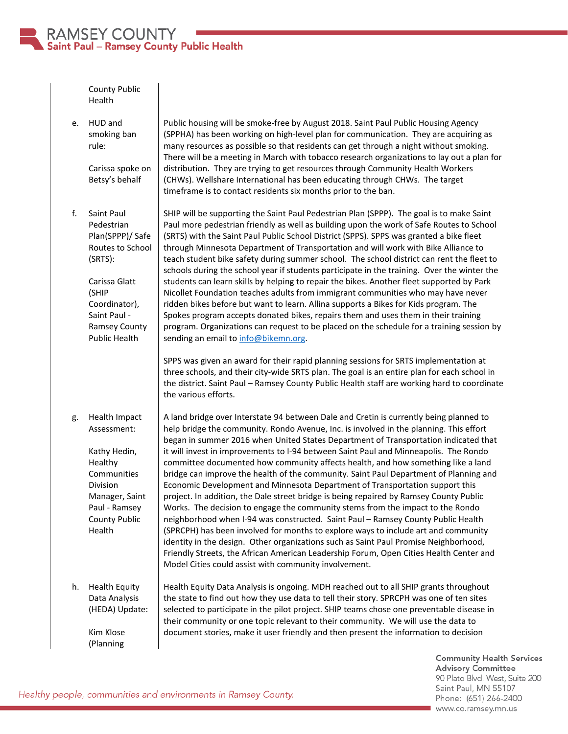

|    | <b>County Public</b><br>Health                                                                                                                                                  |                                                                                                                                                                                                                                                                                                                                                                                                                                                                                                                                                                                                                                                                                                                                                                                                                                                                                                                                                                                                                                                                                                                                                                                                                                                                                                                                                                                     |
|----|---------------------------------------------------------------------------------------------------------------------------------------------------------------------------------|-------------------------------------------------------------------------------------------------------------------------------------------------------------------------------------------------------------------------------------------------------------------------------------------------------------------------------------------------------------------------------------------------------------------------------------------------------------------------------------------------------------------------------------------------------------------------------------------------------------------------------------------------------------------------------------------------------------------------------------------------------------------------------------------------------------------------------------------------------------------------------------------------------------------------------------------------------------------------------------------------------------------------------------------------------------------------------------------------------------------------------------------------------------------------------------------------------------------------------------------------------------------------------------------------------------------------------------------------------------------------------------|
| e. | HUD and<br>smoking ban<br>rule:<br>Carissa spoke on<br>Betsy's behalf                                                                                                           | Public housing will be smoke-free by August 2018. Saint Paul Public Housing Agency<br>(SPPHA) has been working on high-level plan for communication. They are acquiring as<br>many resources as possible so that residents can get through a night without smoking.<br>There will be a meeting in March with tobacco research organizations to lay out a plan for<br>distribution. They are trying to get resources through Community Health Workers<br>(CHWs). Wellshare International has been educating through CHWs. The target<br>timeframe is to contact residents six months prior to the ban.                                                                                                                                                                                                                                                                                                                                                                                                                                                                                                                                                                                                                                                                                                                                                                               |
| f. | Saint Paul<br>Pedestrian<br>Plan(SPPP)/ Safe<br>Routes to School<br>(SRTS):<br>Carissa Glatt<br>(SHIP<br>Coordinator),<br>Saint Paul -<br>Ramsey County<br><b>Public Health</b> | SHIP will be supporting the Saint Paul Pedestrian Plan (SPPP). The goal is to make Saint<br>Paul more pedestrian friendly as well as building upon the work of Safe Routes to School<br>(SRTS) with the Saint Paul Public School District (SPPS). SPPS was granted a bike fleet<br>through Minnesota Department of Transportation and will work with Bike Alliance to<br>teach student bike safety during summer school. The school district can rent the fleet to<br>schools during the school year if students participate in the training. Over the winter the<br>students can learn skills by helping to repair the bikes. Another fleet supported by Park<br>Nicollet Foundation teaches adults from immigrant communities who may have never<br>ridden bikes before but want to learn. Allina supports a Bikes for Kids program. The<br>Spokes program accepts donated bikes, repairs them and uses them in their training<br>program. Organizations can request to be placed on the schedule for a training session by<br>sending an email to info@bikemn.org.<br>SPPS was given an award for their rapid planning sessions for SRTS implementation at<br>three schools, and their city-wide SRTS plan. The goal is an entire plan for each school in<br>the district. Saint Paul - Ramsey County Public Health staff are working hard to coordinate<br>the various efforts. |
| g. | Health Impact<br>Assessment:<br>Kathy Hedin,<br>Healthy<br>Communities<br>Division<br>Manager, Saint<br>Paul - Ramsey<br><b>County Public</b><br>Health                         | A land bridge over Interstate 94 between Dale and Cretin is currently being planned to<br>help bridge the community. Rondo Avenue, Inc. is involved in the planning. This effort<br>began in summer 2016 when United States Department of Transportation indicated that<br>it will invest in improvements to I-94 between Saint Paul and Minneapolis. The Rondo<br>committee documented how community affects health, and how something like a land<br>bridge can improve the health of the community. Saint Paul Department of Planning and<br>Economic Development and Minnesota Department of Transportation support this<br>project. In addition, the Dale street bridge is being repaired by Ramsey County Public<br>Works. The decision to engage the community stems from the impact to the Rondo<br>neighborhood when I-94 was constructed. Saint Paul - Ramsey County Public Health<br>(SPRCPH) has been involved for months to explore ways to include art and community<br>identity in the design. Other organizations such as Saint Paul Promise Neighborhood,<br>Friendly Streets, the African American Leadership Forum, Open Cities Health Center and<br>Model Cities could assist with community involvement.                                                                                                                                                       |
| h. | <b>Health Equity</b><br>Data Analysis<br>(HEDA) Update:<br>Kim Klose<br>(Planning                                                                                               | Health Equity Data Analysis is ongoing. MDH reached out to all SHIP grants throughout<br>the state to find out how they use data to tell their story. SPRCPH was one of ten sites<br>selected to participate in the pilot project. SHIP teams chose one preventable disease in<br>their community or one topic relevant to their community. We will use the data to<br>document stories, make it user friendly and then present the information to decision                                                                                                                                                                                                                                                                                                                                                                                                                                                                                                                                                                                                                                                                                                                                                                                                                                                                                                                         |

**Community Health Services<br>Advisory Committee** 90 Plato Blvd. West, Suite 200 Saint Paul, MN 55107 Phone: (651) 266-2400 www.co.ramsey.mn.us